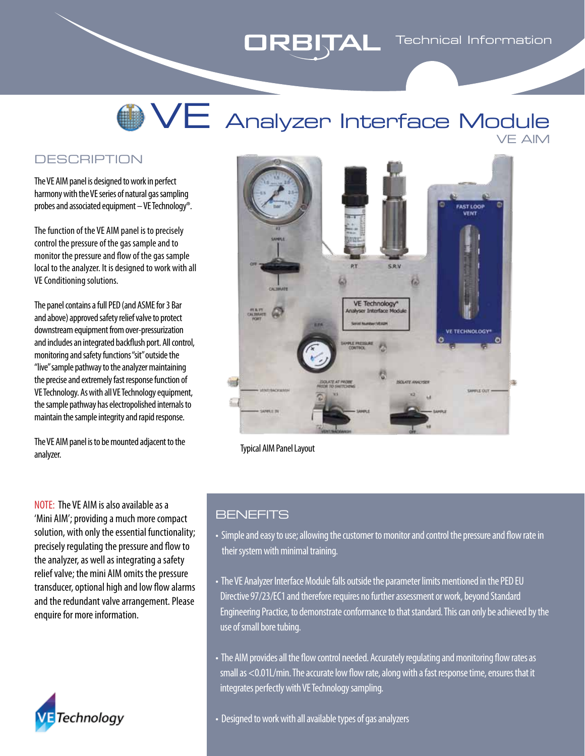# **WE** Analyzer Interface Module VE AIM

#### **DESCRIPTION**

The VE AIM panel is designed to work in perfect harmony with the VE series of natural gas sampling probes and associated equipment – VE Technology®.

The function of the VE AIM panel is to precisely control the pressure of the gas sample and to monitor the pressure and flow of the gas sample local to the analyzer. It is designed to work with all VE Conditioning solutions.

The panel contains a full PED (and ASME for 3 Bar and above) approved safety relief valve to protect downstream equipment from over-pressurization and includes an integrated backflush port. All control, monitoring and safety functions "sit" outside the "live" sample pathway to the analyzer maintaining the precise and extremely fast response function of VE Technology. As with all VE Technology equipment, the sample pathway has electropolished internals to maintain the sample integrity and rapid response.

The VE AIM panel is to be mounted adjacent to the analyzer.

NOTE: The VE AIM is also available as a 'Mini AIM'; providing a much more compact solution, with only the essential functionality; precisely regulating the pressure and flow to the analyzer, as well as integrating a safety relief valve; the mini AIM omits the pressure transducer, optional high and low flow alarms and the redundant valve arrangement. Please enquire for more information.





Typical AIM Panel Layout

#### **BENEFITS**

- Simple and easy to use; allowing the customer to monitor and control the pressure and flow rate in their system with minimal training.
- The VE Analyzer Interface Module falls outside the parameter limits mentioned in the PED EU Directive 97/23/EC1 and therefore requires no further assessment or work, beyond Standard Engineering Practice, to demonstrate conformance to that standard. This can only be achieved by the use of small bore tubing.
- The AIM provides all the flow control needed. Accurately regulating and monitoring flow rates as small as <0.01L/min. The accurate low flow rate, along with a fast response time, ensures that it integrates perfectly with VE Technology sampling.

• Designed to work with all available types of gas analyzers